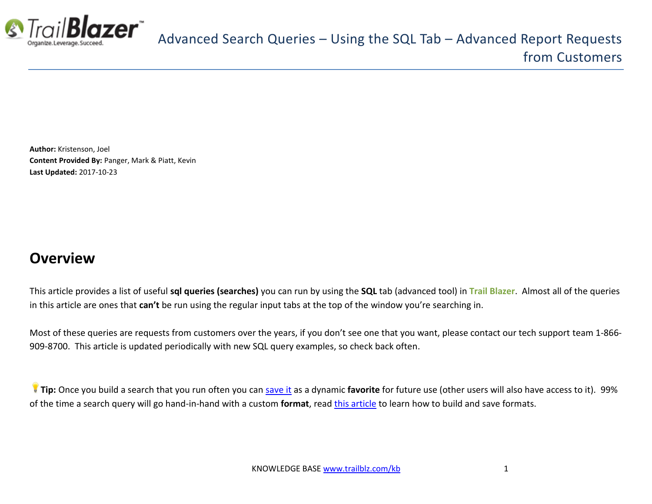

**Author:** Kristenson, Joel **Content Provided By:** Panger, Mark & Piatt, Kevin **Last Updated:** 2017-10-23

## **Overview**

This article provides a list of useful **sql queries (searches)** you can run by using the **SQL** tab (advanced tool) in **Trail Blazer**. Almost all of the queries in this article are ones that **can't** be run using the regular input tabs at the top of the window you're searching in.

Most of these queries are requests from customers over the years, if you don't see one that you want, please contact our tech support team 1-866- 909-8700. This article is updated periodically with new SQL query examples, so check back often.

**Tip:** Once you build a search that you run often you can [save it](http://trailblz.com/kb/?action=view&kb=204&cat=1) as a dynamic favorite for future use (other users will also have access to it). 99% of the time a search query will go hand-in-hand with a custom **format**, read [this article](http://www.trailblz.com/kb/?action=view&kb=272&cat=1) to learn how to build and save formats.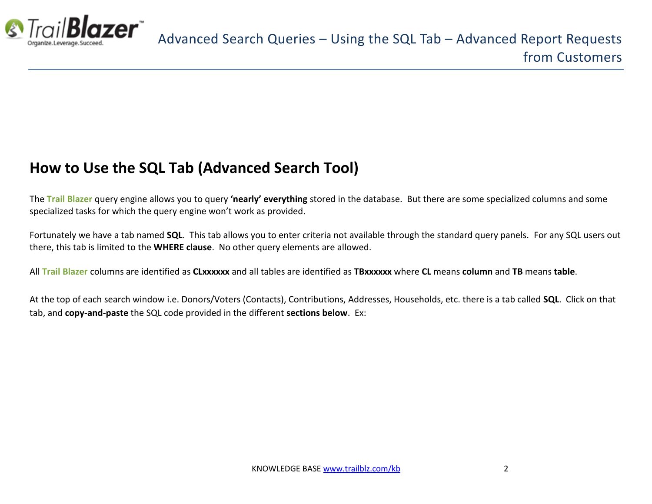

# **How to Use the SQL Tab (Advanced Search Tool)**

The **Trail Blazer** query engine allows you to query **'nearly' everything** stored in the database. But there are some specialized columns and some specialized tasks for which the query engine won't work as provided.

Fortunately we have a tab named **SQL**. This tab allows you to enter criteria not available through the standard query panels. For any SQL users out there, this tab is limited to the **WHERE clause**. No other query elements are allowed.

All **Trail Blazer** columns are identified as **CLxxxxxx** and all tables are identified as **TBxxxxxx** where **CL** means **column** and **TB** means **table**.

At the top of each search window i.e. Donors/Voters (Contacts), Contributions, Addresses, Households, etc. there is a tab called **SQL**. Click on that tab, and **copy-and-paste** the SQL code provided in the different **sections below**. Ex: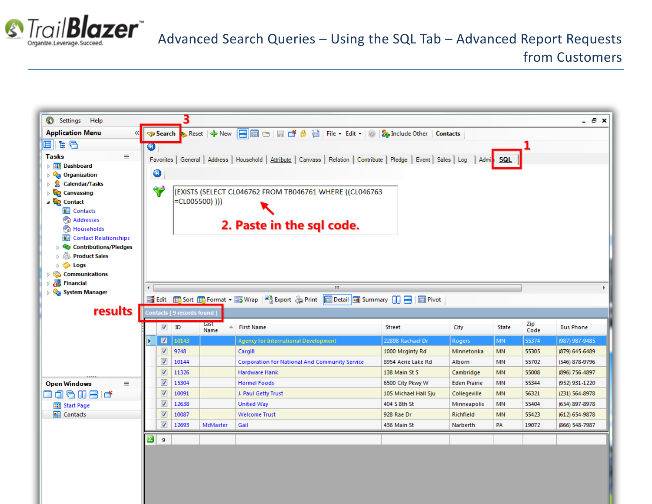

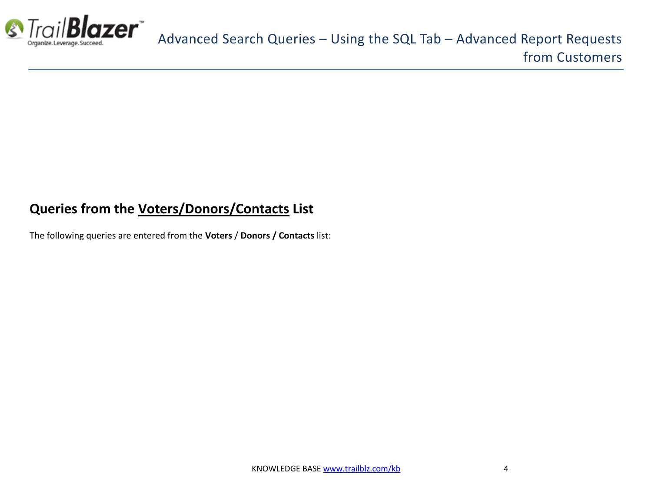

## **Queries from the Voters/Donors/Contacts List**

The following queries are entered from the **Voters** / **Donors / Contacts** list: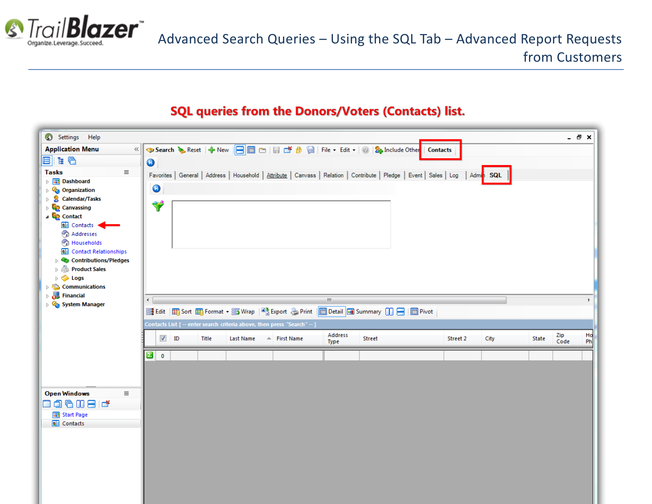

### SQL queries from the Donors/Voters (Contacts) list.

| 3 Settings Help                                                    |                       |               |                                                                          |                  |                        |                |                                                                                                                          |          |           |       | $   \times$ |    |
|--------------------------------------------------------------------|-----------------------|---------------|--------------------------------------------------------------------------|------------------|------------------------|----------------|--------------------------------------------------------------------------------------------------------------------------|----------|-----------|-------|-------------|----|
| <b>Application Menu</b><br>$\ll$                                   |                       |               |                                                                          |                  |                        |                | <b>◆ Search ◆ Reset   + New   日</b> 画 □   目 □ <i>色</i> ■   File + Edit +   ②   <mark>3</mark> p Include Other   Contacts |          |           |       |             |    |
| e i e                                                              | $\bullet$             |               |                                                                          |                  |                        |                |                                                                                                                          |          |           |       |             |    |
| <b>Tasks</b><br>$\equiv$                                           |                       |               |                                                                          |                  |                        |                |                                                                                                                          |          |           |       |             |    |
| <b>Random</b> Dashboard<br>$\triangleright$                        |                       |               |                                                                          |                  |                        |                | Favorites   General   Address   Household   Attribute   Canvass   Relation   Contribute   Pledge   Event   Sales   Log   |          | Admin SQL |       |             |    |
| $\triangleright$ $\mathbf{Q}_0$ Organization                       |                       | $\bullet$     |                                                                          |                  |                        |                |                                                                                                                          |          |           |       |             |    |
| Calendar/Tasks<br>$\triangleright$                                 |                       | Y             |                                                                          |                  |                        |                |                                                                                                                          |          |           |       |             |    |
| $\triangleright$ $\bigcirc$ Canvassing<br>⊿ Contact                |                       |               |                                                                          |                  |                        |                |                                                                                                                          |          |           |       |             |    |
| <b>BE</b> Contacts <                                               |                       |               |                                                                          |                  |                        |                |                                                                                                                          |          |           |       |             |    |
| Addresses                                                          |                       |               |                                                                          |                  |                        |                |                                                                                                                          |          |           |       |             |    |
| Households                                                         |                       |               |                                                                          |                  |                        |                |                                                                                                                          |          |           |       |             |    |
| <b>Contact Relationships</b><br>图目<br><b>Contributions/Pledges</b> |                       |               |                                                                          |                  |                        |                |                                                                                                                          |          |           |       |             |    |
| <b>Product Sales</b><br>dia a                                      |                       |               |                                                                          |                  |                        |                |                                                                                                                          |          |           |       |             |    |
| $\triangleright$ $\bullet$ Logs                                    |                       |               |                                                                          |                  |                        |                |                                                                                                                          |          |           |       |             |    |
| <b>Communications</b><br>$\triangleright$                          |                       |               |                                                                          |                  |                        |                |                                                                                                                          |          |           |       |             |    |
| <b>Financial</b><br>Þ<br><b>Q</b> <sub>a</sub> System Manager<br>Ь | ←⊫                    |               |                                                                          |                  |                        | $\mathbf{H}$ . |                                                                                                                          |          |           |       |             |    |
|                                                                    |                       |               |                                                                          |                  |                        |                |                                                                                                                          |          |           |       |             |    |
|                                                                    |                       |               | Contacts List [ -- enter search criteria above, then press "Search" -- ] |                  |                        |                |                                                                                                                          |          |           |       |             |    |
|                                                                    |                       | $\sqrt{ }$ ID | Title                                                                    | <b>Last Name</b> | $\triangle$ First Name | Address        | <b>Street</b>                                                                                                            | Street 2 | City      | State | Zip         | Ho |
|                                                                    |                       |               |                                                                          |                  |                        | <b>Type</b>    |                                                                                                                          |          |           |       | Code        | Ph |
|                                                                    | $\boldsymbol{\Sigma}$ | $\mathbf 0$   |                                                                          |                  |                        |                |                                                                                                                          |          |           |       |             |    |
|                                                                    |                       |               |                                                                          |                  |                        |                |                                                                                                                          |          |           |       |             |    |
|                                                                    |                       |               |                                                                          |                  |                        |                |                                                                                                                          |          |           |       |             |    |
| <b>Open Windows</b><br>$\equiv$                                    |                       |               |                                                                          |                  |                        |                |                                                                                                                          |          |           |       |             |    |
| 006086                                                             |                       |               |                                                                          |                  |                        |                |                                                                                                                          |          |           |       |             |    |
| <b>H</b> Start Page                                                |                       |               |                                                                          |                  |                        |                |                                                                                                                          |          |           |       |             |    |
| <b>BE</b> Contacts                                                 |                       |               |                                                                          |                  |                        |                |                                                                                                                          |          |           |       |             |    |
|                                                                    |                       |               |                                                                          |                  |                        |                |                                                                                                                          |          |           |       |             |    |
|                                                                    |                       |               |                                                                          |                  |                        |                |                                                                                                                          |          |           |       |             |    |
|                                                                    |                       |               |                                                                          |                  |                        |                |                                                                                                                          |          |           |       |             |    |
|                                                                    |                       |               |                                                                          |                  |                        |                |                                                                                                                          |          |           |       |             |    |
|                                                                    |                       |               |                                                                          |                  |                        |                |                                                                                                                          |          |           |       |             |    |
|                                                                    |                       |               |                                                                          |                  |                        |                |                                                                                                                          |          |           |       |             |    |
|                                                                    |                       |               |                                                                          |                  |                        |                |                                                                                                                          |          |           |       |             |    |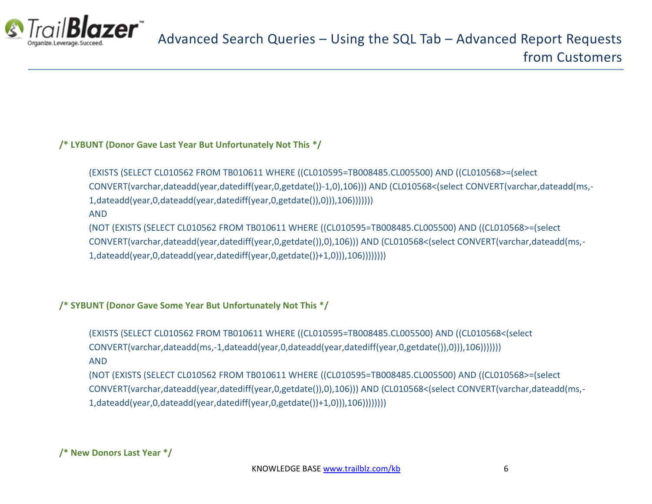

#### **/\* LYBUNT (Donor Gave Last Year But Unfortunately Not This \*/**

(EXISTS (SELECT CL010562 FROM TB010611 WHERE ((CL010595=TB008485.CL005500) AND ((CL010568>=(select CONVERT(varchar,dateadd(year,datediff(year,0,getdate())-1,0),106))) AND (CL010568<(select CONVERT(varchar,dateadd(ms,- 1,dateadd(year,0,dateadd(year,datediff(year,0,getdate()),0))),106))))))) AND (NOT (EXISTS (SELECT CL010562 FROM TB010611 WHERE ((CL010595=TB008485.CL005500) AND ((CL010568>=(select

CONVERT(varchar,dateadd(year,datediff(year,0,getdate()),0),106))) AND (CL010568<(select CONVERT(varchar,dateadd(ms,- 1,dateadd(year,0,dateadd(year,datediff(year,0,getdate())+1,0))),106))))))))

#### **/\* SYBUNT (Donor Gave Some Year But Unfortunately Not This \*/**

(EXISTS (SELECT CL010562 FROM TB010611 WHERE ((CL010595=TB008485.CL005500) AND ((CL010568<(select CONVERT(varchar,dateadd(ms,-1,dateadd(year,0,dateadd(year,datediff(year,0,getdate()),0))),106))))))) AND (NOT (EXISTS (SELECT CL010562 FROM TB010611 WHERE ((CL010595=TB008485.CL005500) AND ((CL010568>=(select CONVERT(varchar,dateadd(year,datediff(year,0,getdate()),0),106))) AND (CL010568<(select CONVERT(varchar,dateadd(ms,- 1,dateadd(year,0,dateadd(year,datediff(year,0,getdate())+1,0))),106))))))))

**/\* New Donors Last Year \*/**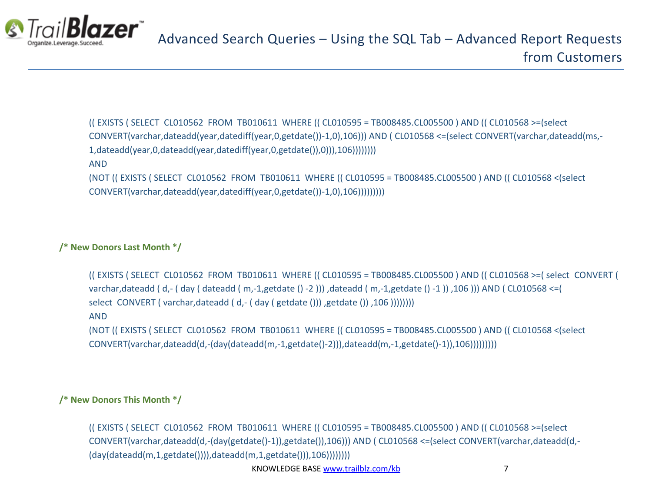

(( EXISTS ( SELECT CL010562 FROM TB010611 WHERE (( CL010595 = TB008485.CL005500 ) AND (( CL010568 >=(select CONVERT(varchar,dateadd(year,datediff(year,0,getdate())-1,0),106))) AND ( CL010568 <=(select CONVERT(varchar,dateadd(ms,- 1,dateadd(year,0,dateadd(year,datediff(year,0,getdate()),0))),106)))))))) AND (NOT (( EXISTS ( SELECT CL010562 FROM TB010611 WHERE (( CL010595 = TB008485.CL005500 ) AND (( CL010568 <(select CONVERT(varchar,dateadd(year,datediff(year,0,getdate())-1,0),106)))))))))

#### **/\* New Donors Last Month \*/**

(( EXISTS ( SELECT CL010562 FROM TB010611 WHERE (( CL010595 = TB008485.CL005500 ) AND (( CL010568 >=( select CONVERT ( varchar,dateadd ( d,- ( day ( dateadd ( m,-1,getdate () -2 ))) ,dateadd ( m,-1,getdate () -1 )) ,106 ))) AND ( CL010568 <=( select CONVERT ( varchar,dateadd ( d, - ( day ( getdate ())) ,getdate ()), 106 ))))))) AND (NOT (( EXISTS ( SELECT CL010562 FROM TB010611 WHERE (( CL010595 = TB008485.CL005500 ) AND (( CL010568 <(select CONVERT(varchar,dateadd(d,-(day(dateadd(m,-1,getdate()-2))),dateadd(m,-1,getdate()-1)),106)))))))))

#### **/\* New Donors This Month \*/**

(( EXISTS ( SELECT CL010562 FROM TB010611 WHERE (( CL010595 = TB008485.CL005500 ) AND (( CL010568 >=(select CONVERT(varchar,dateadd(d,-(day(getdate()-1)),getdate()),106))) AND ( CL010568 <=(select CONVERT(varchar,dateadd(d,- (day(dateadd(m,1,getdate()))),dateadd(m,1,getdate())),106))))))))

KNOWLEDGE BAS[E www.trailblz.com/kb](http://www.trailblz.com/kb) 7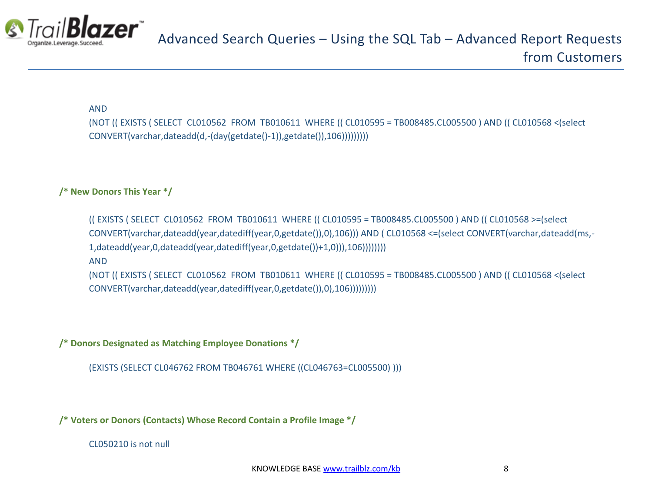

AND

(NOT (( EXISTS ( SELECT CL010562 FROM TB010611 WHERE (( CL010595 = TB008485.CL005500 ) AND (( CL010568 <(select CONVERT(varchar,dateadd(d,-(day(getdate()-1)),getdate()),106)))))))))

**/\* New Donors This Year \*/**

(( EXISTS ( SELECT CL010562 FROM TB010611 WHERE (( CL010595 = TB008485.CL005500 ) AND (( CL010568 >=(select CONVERT(varchar,dateadd(year,datediff(year,0,getdate()),0),106))) AND ( CL010568 <=(select CONVERT(varchar,dateadd(ms,- 1,dateadd(year,0,dateadd(year,datediff(year,0,getdate())+1,0))),106)))))))) AND

(NOT (( EXISTS ( SELECT CL010562 FROM TB010611 WHERE (( CL010595 = TB008485.CL005500 ) AND (( CL010568 <(select CONVERT(varchar,dateadd(year,datediff(year,0,getdate()),0),106)))))))))

**/\* Donors Designated as Matching Employee Donations \*/**

(EXISTS (SELECT CL046762 FROM TB046761 WHERE ((CL046763=CL005500) )))

**/\* Voters or Donors (Contacts) Whose Record Contain a Profile Image \*/**

CL050210 is not null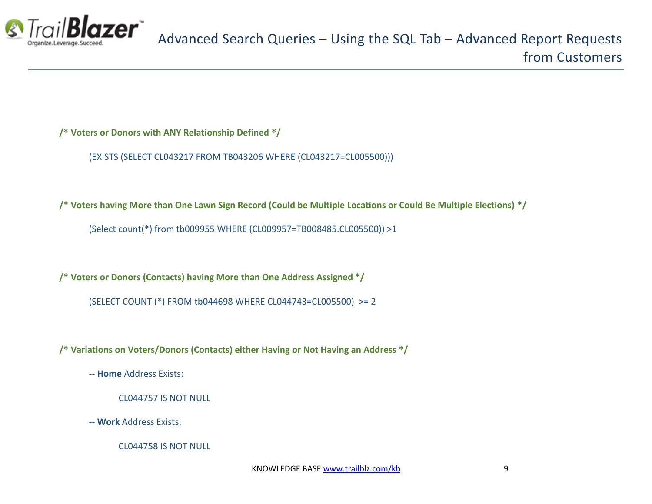

**/\* Voters or Donors with ANY Relationship Defined \*/**

(EXISTS (SELECT CL043217 FROM TB043206 WHERE (CL043217=CL005500)))

**/\* Voters having More than One Lawn Sign Record (Could be Multiple Locations or Could Be Multiple Elections) \*/**

(Select count(\*) from tb009955 WHERE (CL009957=TB008485.CL005500)) >1

**/\* Voters or Donors (Contacts) having More than One Address Assigned \*/**

(SELECT COUNT (\*) FROM tb044698 WHERE CL044743=CL005500) >= 2

**/\* Variations on Voters/Donors (Contacts) either Having or Not Having an Address \*/**

-- **Home** Address Exists:

CL044757 IS NOT NULL

-- **Work** Address Exists:

CL044758 IS NOT NULL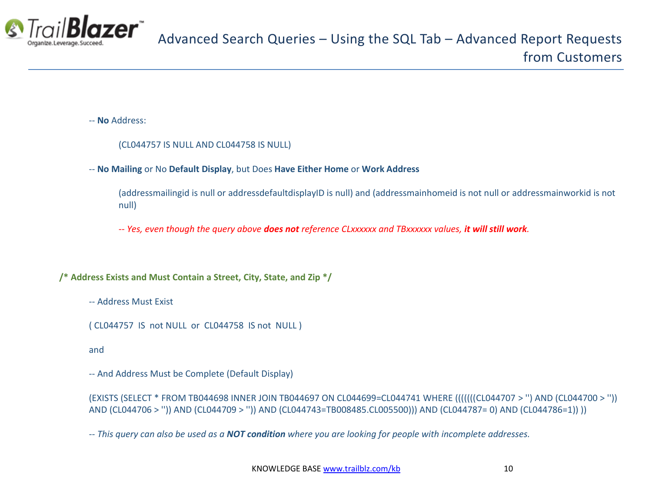

-- **No** Address:

| (CL044757 IS NULL AND CL044758 IS NULL) |  |  |  |
|-----------------------------------------|--|--|--|
|-----------------------------------------|--|--|--|

-- **No Mailing** or No **Default Display**, but Does **Have Either Home** or **Work Address**

(addressmailingid is null or addressdefaultdisplayID is null) and (addressmainhomeid is not null or addressmainworkid is not null)

*-- Yes, even though the query above does not reference CLxxxxxx and TBxxxxxx values, it will still work.*

**/\* Address Exists and Must Contain a Street, City, State, and Zip \*/**

-- Address Must Exist

( CL044757 IS not NULL or CL044758 IS not NULL )

and

-- And Address Must be Complete (Default Display)

(EXISTS (SELECT \* FROM TB044698 INNER JOIN TB044697 ON CL044699=CL044741 WHERE (((((((CL044707 > '') AND (CL044700 > '')) AND (CL044706 > '')) AND (CL044709 > '')) AND (CL044743=TB008485.CL005500))) AND (CL044787= 0) AND (CL044786=1)) ))

*-- This query can also be used as a NOT condition where you are looking for people with incomplete addresses.*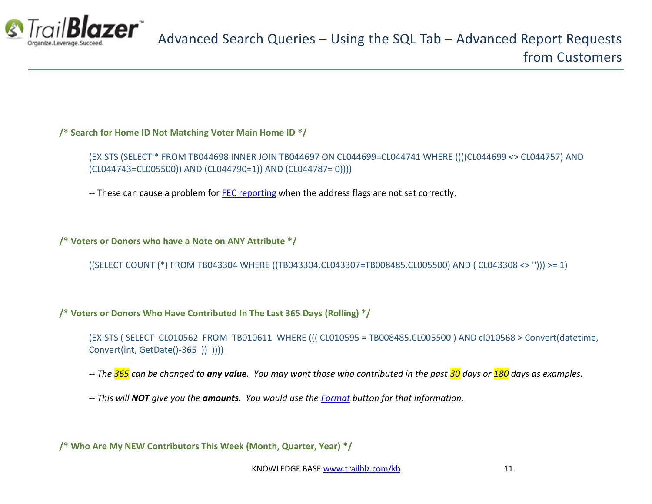

**/\* Search for Home ID Not Matching Voter Main Home ID \*/**

```
(EXISTS (SELECT * FROM TB044698 INNER JOIN TB044697 ON CL044699=CL044741 WHERE ((((CL044699 <> CL044757) AND 
(CL044743=CL005500)) AND (CL044790=1)) AND (CL044787= 0))))
```
-- These can cause a problem for [FEC reporting](http://www.trailblz.com/kb/?action=list&cat=4) when the address flags are not set correctly.

**/\* Voters or Donors who have a Note on ANY Attribute \*/**

((SELECT COUNT (\*) FROM TB043304 WHERE ((TB043304.CL043307=TB008485.CL005500) AND ( CL043308 <> ''))) >= 1)

**/\* Voters or Donors Who Have Contributed In The Last 365 Days (Rolling) \*/**

(EXISTS ( SELECT CL010562 FROM TB010611 WHERE ((( CL010595 = TB008485.CL005500 ) AND cl010568 > Convert(datetime, Convert(int, GetDate()-365 )) ))))

*-- The 365 can be changed to any value. You may want those who contributed in the past 30 days or 180 days as examples.*

*-- This will NOT give you the amounts. You would use th[e Format](http://www.trailblz.com/kb/?action=view&kb=272&cat=1) button for that information.*

**/\* Who Are My NEW Contributors This Week (Month, Quarter, Year) \*/**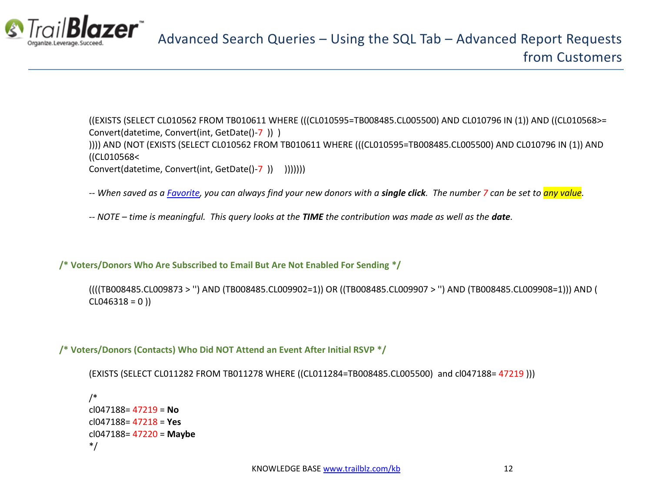

((EXISTS (SELECT CL010562 FROM TB010611 WHERE (((CL010595=TB008485.CL005500) AND CL010796 IN (1)) AND ((CL010568>= Convert(datetime, Convert(int, GetDate()-7 )) ) )))) AND (NOT (EXISTS (SELECT CL010562 FROM TB010611 WHERE (((CL010595=TB008485.CL005500) AND CL010796 IN (1)) AND ((CL010568< Convert(datetime, Convert(int, GetDate()-7 )) )))))))

*-- When saved as a [Favorite,](http://trailblz.com/kb/?action=view&kb=204&cat=1) you can always find your new donors with a single click. The number 7 can be set to any value.*

*-- NOTE – time is meaningful. This query looks at the TIME the contribution was made as well as the date.*

**/\* Voters/Donors Who Are Subscribed to Email But Are Not Enabled For Sending \*/**

((((TB008485.CL009873 > '') AND (TB008485.CL009902=1)) OR ((TB008485.CL009907 > '') AND (TB008485.CL009908=1))) AND (  $CL046318 = 0$ )

**/\* Voters/Donors (Contacts) Who Did NOT Attend an Event After Initial RSVP \*/**

(EXISTS (SELECT CL011282 FROM TB011278 WHERE ((CL011284=TB008485.CL005500) and cl047188= 47219 )))

```
/*
cl047188= 47219 = No
cl047188= 47218 = Yes
cl047188= 47220 = Maybe
*/
```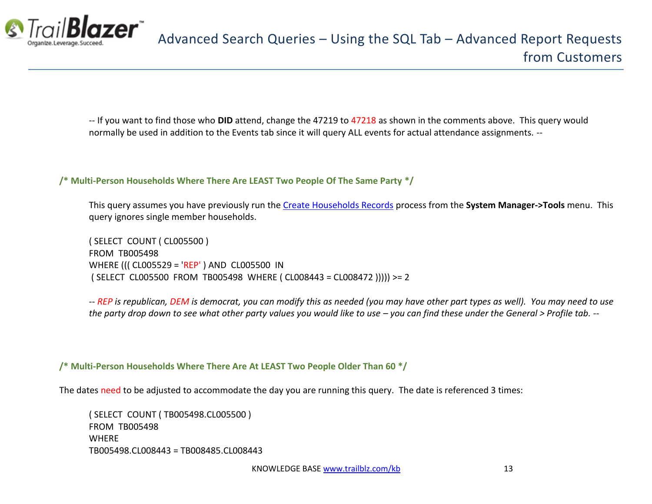

-- If you want to find those who **DID** attend, change the 47219 to 47218 as shown in the comments above. This query would normally be used in addition to the Events tab since it will query ALL events for actual attendance assignments. --

**/\* Multi-Person Households Where There Are LEAST Two People Of The Same Party \*/**

This query assumes you have previously run the [Create Households Records](http://trailblz.net/?action=view&kb=213&cat=1) process from the **System Manager->Tools** menu. This query ignores single member households.

( SELECT COUNT ( CL005500 ) FROM TB005498 WHERE ((( CL005529 = 'REP' ) AND CL005500 IN ( SELECT CL005500 FROM TB005498 WHERE ( CL008443 = CL008472 ))))) >= 2

*-- REP is republican, DEM is democrat, you can modify this as needed (you may have other part types as well). You may need to use the party drop down to see what other party values you would like to use – you can find these under the General > Profile tab. --*

#### **/\* Multi-Person Households Where There Are At LEAST Two People Older Than 60 \*/**

The dates need to be adjusted to accommodate the day you are running this query. The date is referenced 3 times:

( SELECT COUNT ( TB005498.CL005500 ) FROM TB005498 WHERE TB005498.CL008443 = TB008485.CL008443

KNOWLEDGE BAS[E www.trailblz.com/kb](http://www.trailblz.com/kb) 13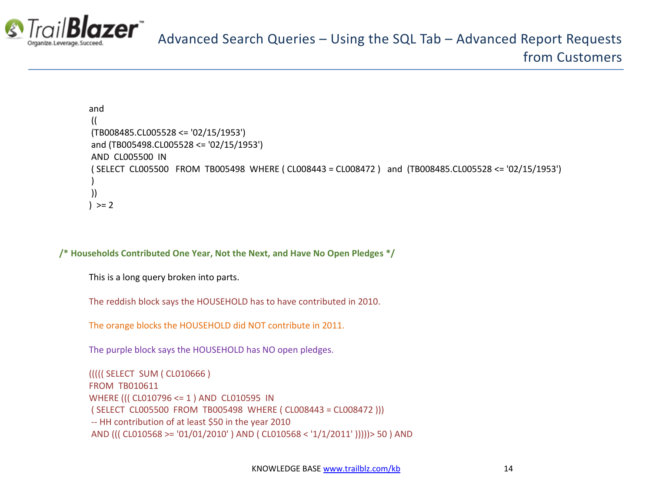

```
and
((
(TB008485.CL005528 <= '02/15/1953')
and (TB005498.CL005528 <= '02/15/1953')
AND CL005500 IN 
( SELECT CL005500 FROM TB005498 WHERE ( CL008443 = CL008472 ) and (TB008485.CL005528 <= '02/15/1953') 
 )
)) 
) > = 2
```
**/\* Households Contributed One Year, Not the Next, and Have No Open Pledges \*/**

This is a long query broken into parts.

The reddish block says the HOUSEHOLD has to have contributed in 2010.

The orange blocks the HOUSEHOLD did NOT contribute in 2011.

The purple block says the HOUSEHOLD has NO open pledges.

```
((((( SELECT SUM ( CL010666 )
FROM TB010611
WHERE ((( CL010796 <= 1 ) AND CL010595 IN
( SELECT CL005500 FROM TB005498 WHERE ( CL008443 = CL008472 )))
-- HH contribution of at least $50 in the year 2010
AND ((( CL010568 >= '01/01/2010' ) AND ( CL010568 < '1/1/2011' )))))> 50 ) AND
```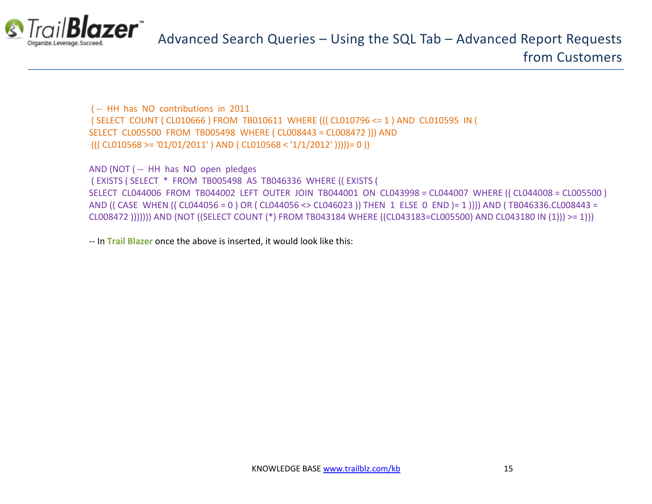

( -- HH has NO contributions in 2011 ( SELECT COUNT ( CL010666 ) FROM TB010611 WHERE ((( CL010796 <= 1 ) AND CL010595 IN ( SELECT CL005500 FROM TB005498 WHERE ( CL008443 = CL008472 ))) AND  $(((\text{CL010568} > = '01/01/2011') \text{ AND } (\text{CL010568} < '1/1/2012' ))))) = 0))$ 

AND (NOT ( -- HH has NO open pledges ( EXISTS ( SELECT \* FROM TB005498 AS TB046336 WHERE (( EXISTS ( SELECT CL044006 FROM TB044002 LEFT OUTER JOIN TB044001 ON CL043998 = CL044007 WHERE (( CL044008 = CL005500 ) AND (( CASE WHEN (( CL044056 = 0 ) OR ( CL044056 <> CL046023 )) THEN 1 ELSE 0 END )= 1 )))) AND ( TB046336.CL008443 = CL008472 ))))))) AND (NOT ((SELECT COUNT (\*) FROM TB043184 WHERE ((CL043183=CL005500) AND CL043180 IN (1))) >= 1)))

-- In **Trail Blazer** once the above is inserted, it would look like this: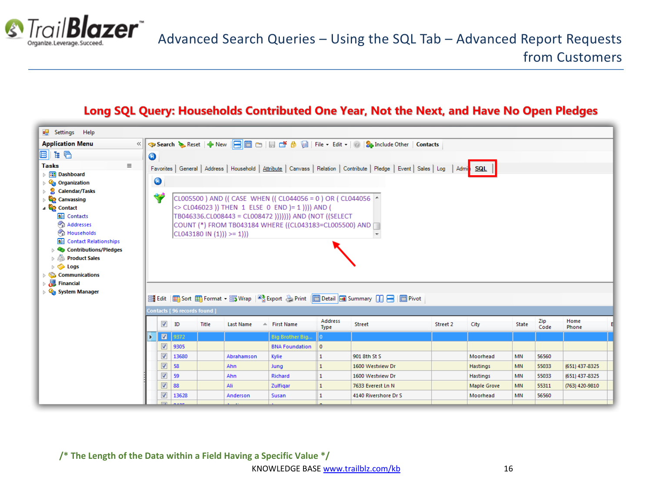

### Long SQL Query: Households Contributed One Year, Not the Next, and Have No Open Pledges

| <b>n</b> Settings Help                                                                                                                                                                                                                                                                                                                                                                       |           |                                           |                             |                              |                  |                                                                                                                                                                                                                                         |                        |                                                                                                                        |          |                    |              |             |                |
|----------------------------------------------------------------------------------------------------------------------------------------------------------------------------------------------------------------------------------------------------------------------------------------------------------------------------------------------------------------------------------------------|-----------|-------------------------------------------|-----------------------------|------------------------------|------------------|-----------------------------------------------------------------------------------------------------------------------------------------------------------------------------------------------------------------------------------------|------------------------|------------------------------------------------------------------------------------------------------------------------|----------|--------------------|--------------|-------------|----------------|
| <b>Application Menu</b><br>$\ll$                                                                                                                                                                                                                                                                                                                                                             |           |                                           |                             |                              |                  |                                                                                                                                                                                                                                         |                        |                                                                                                                        |          |                    |              |             |                |
| e i e                                                                                                                                                                                                                                                                                                                                                                                        | $\bullet$ |                                           |                             |                              |                  |                                                                                                                                                                                                                                         |                        |                                                                                                                        |          |                    |              |             |                |
| $\equiv$<br><b>Tasks</b>                                                                                                                                                                                                                                                                                                                                                                     |           |                                           |                             |                              |                  |                                                                                                                                                                                                                                         |                        | Favorites   General   Address   Household   Attribute   Canvass   Relation   Contribute   Pledge   Event   Sales   Log |          | Admi SQL           |              |             |                |
| $\triangleright$ $\boxed{\cdots}$ Dashboard<br>$\triangleright$ $\mathbb{Q}_3$ Organization<br>Calendar/Tasks<br>$\triangleright$ $\bigcirc$ Canvassing<br>⊿ Contact<br><b>BE</b> Contacts<br>Addresses<br>Households<br><b>BE</b> Contact Relationships<br>Contributions/Pledges<br><b>Product Sales</b><br>$\triangleright$ $\bullet$ Logs<br>$\triangleright$ $\mathbb{C}$ Communications |           | 0<br>₩                                    |                             | $ CLO43180$ IN $(1))$ >= 1)) |                  | CL005500 ) AND (( CASE WHEN (( CL044056 = 0 ) OR ( CL044056   ^<br><> CL046023 )) THEN 1 ELSE 0 END )= 1 )))) AND (<br>TB046336.CL008443 = CL008472 ))))))) AND (NOT ((SELECT<br>COUNT (*) FROM TB043184 WHERE ((CL043183=CL005500) AND |                        |                                                                                                                        |          |                    |              |             |                |
| <b>Financial</b><br><b>Qa System Manager</b>                                                                                                                                                                                                                                                                                                                                                 |           |                                           | Contacts [96 records found] |                              |                  |                                                                                                                                                                                                                                         |                        |                                                                                                                        |          |                    |              |             |                |
|                                                                                                                                                                                                                                                                                                                                                                                              |           | $\overline{\mathbf{v}}$                   | ID                          | Title                        | <b>Last Name</b> | $\triangle$ First Name                                                                                                                                                                                                                  | <b>Address</b><br>Type | Street                                                                                                                 | Street 2 | City               | <b>State</b> | Zip<br>Code | Home<br>Phone  |
|                                                                                                                                                                                                                                                                                                                                                                                              |           |                                           | $\boxed{2}$ 9372            |                              |                  | <b>Big Brother Big</b>                                                                                                                                                                                                                  | $\mathbf{0}$           |                                                                                                                        |          |                    |              |             |                |
|                                                                                                                                                                                                                                                                                                                                                                                              |           | $\overline{\mathbf{v}}$                   | 9305                        |                              |                  | <b>BNA Foundation</b>                                                                                                                                                                                                                   | 0                      |                                                                                                                        |          |                    |              |             |                |
|                                                                                                                                                                                                                                                                                                                                                                                              |           | $\overline{\mathsf{v}}$                   | 13680                       |                              | Abrahamson       | Kylie                                                                                                                                                                                                                                   | 1                      | 901 8th St S                                                                                                           |          | Moorhead           | <b>MN</b>    | 56560       |                |
|                                                                                                                                                                                                                                                                                                                                                                                              |           | $\overline{\mathbf{v}}$                   | 58                          |                              | Ahn              | Jung                                                                                                                                                                                                                                    | $\overline{1}$         | 1600 Westview Dr                                                                                                       |          | <b>Hastings</b>    | <b>MN</b>    | 55033       | (651) 437-8325 |
|                                                                                                                                                                                                                                                                                                                                                                                              |           | $\sqrt{2}$                                | 59                          |                              | Ahn              | <b>Richard</b>                                                                                                                                                                                                                          | 1                      | 1600 Westview Dr                                                                                                       |          | <b>Hastings</b>    | MN           | 55033       | (651) 437-8325 |
|                                                                                                                                                                                                                                                                                                                                                                                              |           | $\overline{\mathbf{v}}$                   | 88                          |                              | Ali              | Zulfigar                                                                                                                                                                                                                                | $\mathbf{1}$           | 7633 Everest Ln N                                                                                                      |          | <b>Maple Grove</b> | <b>MN</b>    | 55311       | (763) 420-9810 |
|                                                                                                                                                                                                                                                                                                                                                                                              |           | $\overline{\mathbf{v}}$<br>$\overline{1}$ | 13628                       |                              | Anderson         | Susan                                                                                                                                                                                                                                   | $\mathbf{1}$           | 4140 Rivershore Dr S                                                                                                   |          | Moorhead           | <b>MN</b>    | 56560       |                |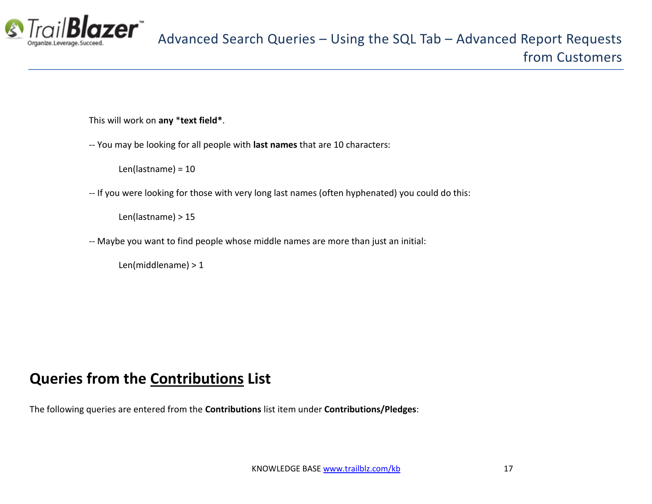

#### This will work on **any** \***text field\***.

-- You may be looking for all people with **last names** that are 10 characters:

Len(lastname) = 10

-- If you were looking for those with very long last names (often hyphenated) you could do this:

Len(lastname) > 15

-- Maybe you want to find people whose middle names are more than just an initial:

Len(middlename) > 1

# **Queries from the Contributions List**

The following queries are entered from the **Contributions** list item under **Contributions/Pledges**: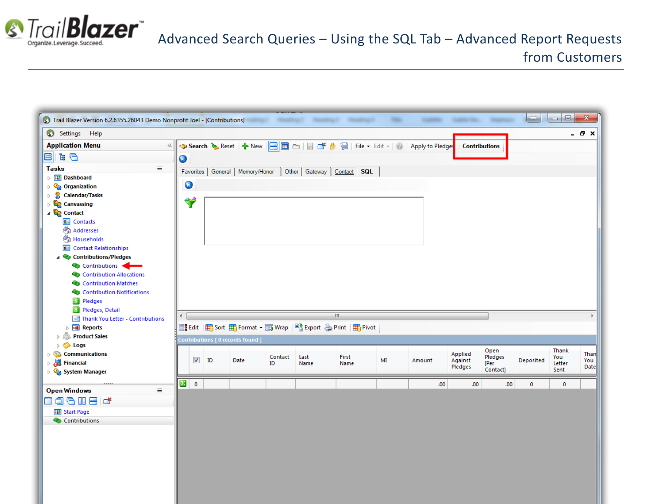

| (3) Trail Blazer Version 6.2.6355.26043 Demo Nonprofit Joel - [Contributions]                                            |                       |                         |    |                                   |               |                                                                                                        |                | <b>SHOP</b> | <b>Supporting</b> |     |                      |                 | $\Rightarrow$ | $ -$          | $\mathbf{x}$ |
|--------------------------------------------------------------------------------------------------------------------------|-----------------------|-------------------------|----|-----------------------------------|---------------|--------------------------------------------------------------------------------------------------------|----------------|-------------|-------------------|-----|----------------------|-----------------|---------------|---------------|--------------|
| Settings<br>Help                                                                                                         |                       |                         |    |                                   |               |                                                                                                        |                |             |                   |     |                      |                 |               |               | $   \times$  |
| <b>Application Menu</b><br>$\ll$                                                                                         |                       |                         |    |                                   |               | <b>◆ Search ◆ Reset   ◆ New   日 圖 □   目 □ 1 曲 】 File +</b> Edit +   ●   Apply to Pledge <mark>:</mark> |                |             |                   |     | <b>Contributions</b> |                 |               |               |              |
| e e e                                                                                                                    | 0                     |                         |    |                                   |               |                                                                                                        |                |             |                   |     |                      |                 |               |               |              |
| $\equiv$<br><b>Tasks</b>                                                                                                 |                       |                         |    |                                   |               | Favorites   General   Memory/Honor   Other   Gateway   Contact   SQL                                   |                |             |                   |     |                      |                 |               |               |              |
| $\triangleright$ <b><math>\boxed{11}</math></b> Dashboard                                                                |                       |                         |    |                                   |               |                                                                                                        |                |             |                   |     |                      |                 |               |               |              |
| $\triangleright$ $\mathcal{Q}_0$<br>Organization                                                                         |                       | 0                       |    |                                   |               |                                                                                                        |                |             |                   |     |                      |                 |               |               |              |
| Calendar/Tasks<br>> 8                                                                                                    |                       |                         |    |                                   |               |                                                                                                        |                |             |                   |     |                      |                 |               |               |              |
| $\triangleright$ $\bigcirc$ Canvassing                                                                                   |                       | ❤                       |    |                                   |               |                                                                                                        |                |             |                   |     |                      |                 |               |               |              |
| ⊿ Contact                                                                                                                |                       |                         |    |                                   |               |                                                                                                        |                |             |                   |     |                      |                 |               |               |              |
| <b>BE</b> Contacts                                                                                                       |                       |                         |    |                                   |               |                                                                                                        |                |             |                   |     |                      |                 |               |               |              |
| Addresses<br>Households                                                                                                  |                       |                         |    |                                   |               |                                                                                                        |                |             |                   |     |                      |                 |               |               |              |
| <b>BE</b> Contact Relationships                                                                                          |                       |                         |    |                                   |               |                                                                                                        |                |             |                   |     |                      |                 |               |               |              |
| 4 Contributions/Pledges                                                                                                  |                       |                         |    |                                   |               |                                                                                                        |                |             |                   |     |                      |                 |               |               |              |
| Contributions <                                                                                                          |                       |                         |    |                                   |               |                                                                                                        |                |             |                   |     |                      |                 |               |               |              |
| Contribution Allocations                                                                                                 |                       |                         |    |                                   |               |                                                                                                        |                |             |                   |     |                      |                 |               |               |              |
| Contribution Matches                                                                                                     |                       |                         |    |                                   |               |                                                                                                        |                |             |                   |     |                      |                 |               |               |              |
| Contribution Notifications                                                                                               |                       |                         |    |                                   |               |                                                                                                        |                |             |                   |     |                      |                 |               |               |              |
| <b>S</b> Pledges                                                                                                         |                       |                         |    |                                   |               |                                                                                                        |                |             |                   |     |                      |                 |               |               |              |
| S Pledges, Detail                                                                                                        | $\leftarrow$          |                         |    |                                   |               |                                                                                                        | $\mathbb{H}^*$ |             |                   |     |                      |                 |               |               | b.           |
| Thank You Letter - Contributions                                                                                         |                       |                         |    |                                   |               | 들 Edit   田 Sort 田 Format • n Wrap   약 Export A Print   田 Pivot                                         |                |             |                   |     |                      |                 |               |               |              |
| <b>Reports</b><br>$\triangleright$<br>Product Sales                                                                      |                       |                         |    |                                   |               |                                                                                                        |                |             |                   |     |                      |                 |               |               |              |
| Logs<br>Þ                                                                                                                |                       |                         |    | Contributions [ 0 records found ] |               |                                                                                                        |                |             |                   |     |                      |                 |               |               |              |
| $\triangleright$ $\mathbb{C}$ Communications                                                                             |                       |                         |    |                                   |               |                                                                                                        |                |             |                   |     | Applied              | Open            |               | Thank         | Than         |
| $\triangleright$ $\frac{1}{60}$ Financial                                                                                |                       | $\overline{\mathbf{v}}$ | ID | Date                              | Contact<br>ID | Last<br>Name                                                                                           | First<br>Name  | MI          | Amount            |     | Against              | Pledges<br>[Per | Deposited     | You<br>Letter | You          |
| <b>System Manager</b>                                                                                                    |                       |                         |    |                                   |               |                                                                                                        |                |             |                   |     | Pledges              | Contact]        |               | Sent          | Date         |
|                                                                                                                          | $\boldsymbol{\Sigma}$ | $\overline{0}$          |    |                                   |               |                                                                                                        |                |             |                   | .00 | .00.                 | .00.            | 0             | $\circ$       |              |
| $\equiv$<br><b>Open Windows</b>                                                                                          |                       |                         |    |                                   |               |                                                                                                        |                |             |                   |     |                      |                 |               |               |              |
| $\begin{array}{c} \begin{array}{c} \text{if } \mathbf{a} \in \mathbf{0} \text{ and } \mathbf{a} \end{array} \end{array}$ |                       |                         |    |                                   |               |                                                                                                        |                |             |                   |     |                      |                 |               |               |              |
| <b>Hill</b> Start Page                                                                                                   |                       |                         |    |                                   |               |                                                                                                        |                |             |                   |     |                      |                 |               |               |              |
| Contributions                                                                                                            |                       |                         |    |                                   |               |                                                                                                        |                |             |                   |     |                      |                 |               |               |              |
|                                                                                                                          |                       |                         |    |                                   |               |                                                                                                        |                |             |                   |     |                      |                 |               |               |              |
|                                                                                                                          |                       |                         |    |                                   |               |                                                                                                        |                |             |                   |     |                      |                 |               |               |              |
|                                                                                                                          |                       |                         |    |                                   |               |                                                                                                        |                |             |                   |     |                      |                 |               |               |              |
|                                                                                                                          |                       |                         |    |                                   |               |                                                                                                        |                |             |                   |     |                      |                 |               |               |              |
|                                                                                                                          |                       |                         |    |                                   |               |                                                                                                        |                |             |                   |     |                      |                 |               |               |              |
|                                                                                                                          |                       |                         |    |                                   |               |                                                                                                        |                |             |                   |     |                      |                 |               |               |              |
|                                                                                                                          |                       |                         |    |                                   |               |                                                                                                        |                |             |                   |     |                      |                 |               |               |              |
|                                                                                                                          |                       |                         |    |                                   |               |                                                                                                        |                |             |                   |     |                      |                 |               |               |              |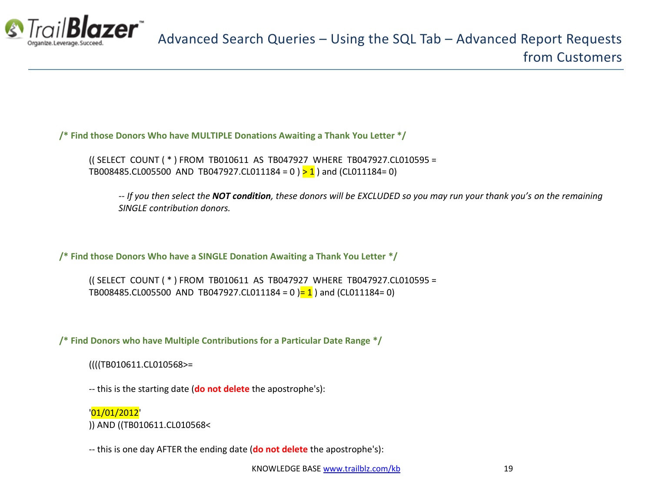

**/\* Find those Donors Who have MULTIPLE Donations Awaiting a Thank You Letter \*/**

(( SELECT COUNT ( \* ) FROM TB010611 AS TB047927 WHERE TB047927.CL010595 = TB008485.CL005500 AND TB047927.CL011184 = 0  $>1$  ) and (CL011184= 0)

*-- If you then select the NOT condition, these donors will be EXCLUDED so you may run your thank you's on the remaining SINGLE contribution donors.*

**/\* Find those Donors Who have a SINGLE Donation Awaiting a Thank You Letter \*/**

(( SELECT COUNT ( \* ) FROM TB010611 AS TB047927 WHERE TB047927.CL010595 = TB008485.CL005500 AND TB047927.CL011184 = 0  $= 1$  ) and (CL011184= 0)

**/\* Find Donors who have Multiple Contributions for a Particular Date Range \*/**

((((TB010611.CL010568>=

-- this is the starting date (**do not delete** the apostrophe's):

'01/01/2012' )) AND ((TB010611.CL010568<

-- this is one day AFTER the ending date (**do not delete** the apostrophe's):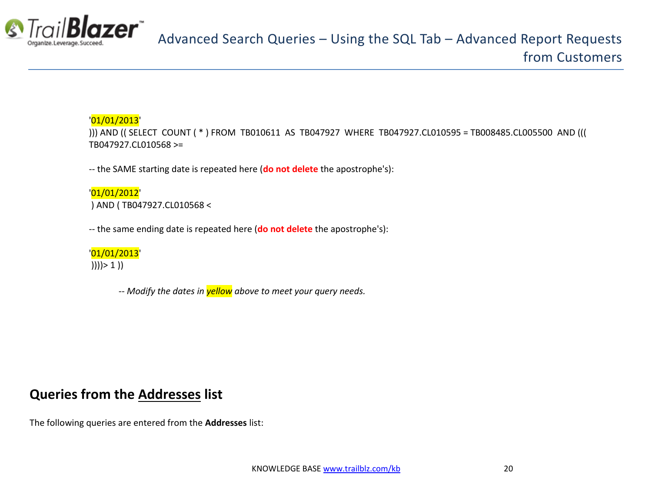

#### '01/01/2013'

))) AND (( SELECT COUNT ( \* ) FROM TB010611 AS TB047927 WHERE TB047927.CL010595 = TB008485.CL005500 AND ((( TB047927.CL010568 >=

-- the SAME starting date is repeated here (**do not delete** the apostrophe's):

'01/01/2012' ) AND ( TB047927.CL010568 <

-- the same ending date is repeated here (**do not delete** the apostrophe's):

'01/01/2013'

))))> 1 ))

*-- Modify the dates in yellow above to meet your query needs.*

### **Queries from the Addresses list**

The following queries are entered from the **Addresses** list: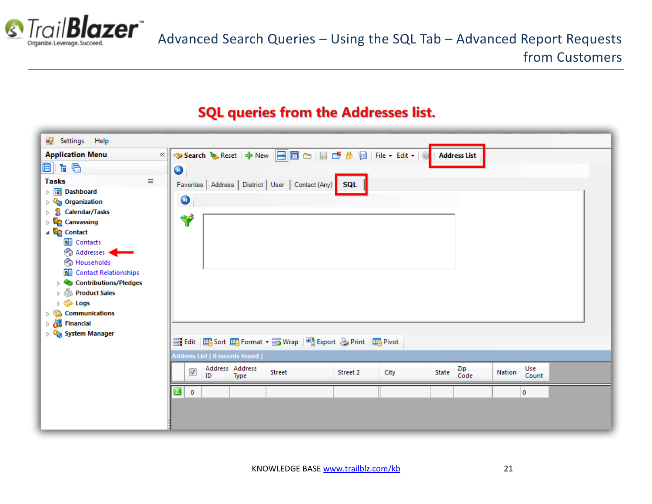

# SQL queries from the Addresses list.

| <b>n</b> Settings Help                                                                                                                                                                                          |                                                                                                                                           |
|-----------------------------------------------------------------------------------------------------------------------------------------------------------------------------------------------------------------|-------------------------------------------------------------------------------------------------------------------------------------------|
| <b>Application Menu</b><br>$\ll$                                                                                                                                                                                | ◆ Search ◆ Reset   ← New   日 圖 □   目 □ 台 圓   File ・ Edit ・   ©<br><b>Address List</b>                                                     |
| e i e                                                                                                                                                                                                           | 0                                                                                                                                         |
| <b>Tasks</b><br>$\equiv$<br>$\triangleright$ $\boxed{11}$ Dashboard<br>$\triangleright$ $\mathbf{Q}_0$ Organization<br>Calendar/Tasks<br>2<br>⊳<br>Canvassing<br>⊿ Contact                                      | Favorites   Address   District   User   Contact (Any)  <br><b>SQL</b><br>0<br>Y                                                           |
| <b>BE</b> Contacts<br>Addresses<br>⊛<br>Households<br><b>Contact Relationships</b><br>83<br><b>Contributions/Pledges</b><br>爲<br><b>Product Sales</b><br>Þ<br><b>Logs</b><br>Communications<br>$\triangleright$ |                                                                                                                                           |
| $\triangleright$ $\overline{ab}$<br><b>Financial</b><br>▷ ♀ <mark>⊙</mark> System Manager                                                                                                                       | 들 Edit   田 Sort 田 Format • n Wrap   활 Export ۞ Print   田 Pivot<br>Address List [ 0 records found ]                                        |
|                                                                                                                                                                                                                 | Address Address<br><b>Use</b><br>Zip<br>Code<br>$\sqrt{2}$<br><b>Street</b><br>State<br>Nation<br>Street 2<br>City<br>ID<br>Type<br>Count |
|                                                                                                                                                                                                                 | Σ<br>0<br>$\mathbf{0}$                                                                                                                    |
|                                                                                                                                                                                                                 |                                                                                                                                           |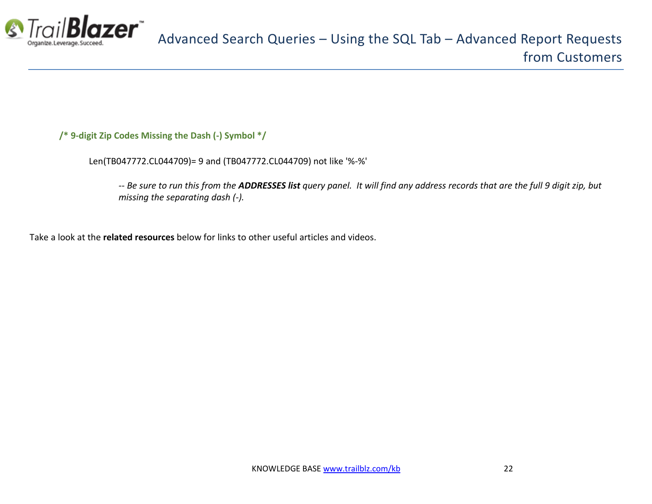

**/\* 9-digit Zip Codes Missing the Dash (-) Symbol \*/**

Len(TB047772.CL044709)= 9 and (TB047772.CL044709) not like '%-%'

*-- Be sure to run this from the ADDRESSES list query panel. It will find any address records that are the full 9 digit zip, but missing the separating dash (-).*

Take a look at the **related resources** below for links to other useful articles and videos.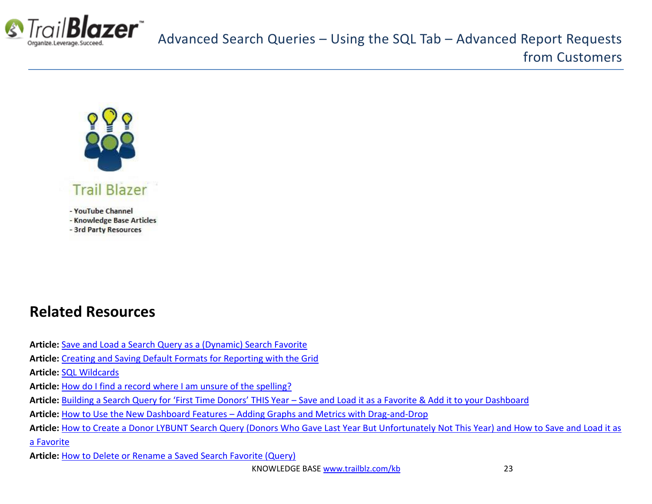



- YouTube Channel
- Knowledge Base Articles
- 3rd Party Resources

## **Related Resources**

- **Article:** [Save and Load a Search Query as a \(Dynamic\) Search Favorite](http://www.trailblz.com/kb/?action=view&kb=204&cat=1)
- **Article:** [Creating and Saving Default Formats for Reporting with the Grid](http://www.trailblz.com/kb/?action=view&kb=272&cat=1)

**Article:** [SQL Wildcards](http://www.trailblz.com/kb/?action=view&kb=115&cat=1)

- **Article:** [How do I find a record where I am unsure of the spelling?](http://www.trailblz.com/kb/?action=view&kb=80&cat=1)
- **Article:** [Building a Search Query for 'First Time Donors' THIS Year –](http://www.trailblz.com/kb/?action=view&kb=1359&cat=1) Save and Load it as a Favorite & Add it to your Dashboard
- **Article:** How to Use the New Dashboard Features [Adding Graphs and Metrics with Drag-and-Drop](http://www.trailblz.com/kb/?action=view&kb=320&cat=1)
- **Article:** [How to Create a Donor LYBUNT Search Query \(Donors Who Gave Last Year But Unfortunately Not This Year\) and How to Save and Load it as](http://www.trailblz.com/kb/?action=view&kb=195&cat=1)  [a Favorite](http://www.trailblz.com/kb/?action=view&kb=195&cat=1)
- **Article:** [How to Delete or Rename a Saved Search Favorite \(Query\)](http://www.trailblz.com/kb/?action=view&kb=185&cat=1)

KNOWLEDGE BAS[E www.trailblz.com/kb](http://www.trailblz.com/kb) 23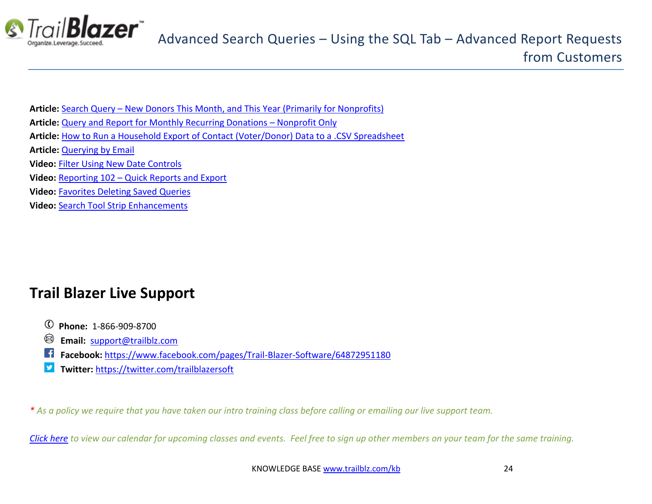

**Article:** Search Query – [New Donors This Month, and This Year \(Primarily for Nonprofits\)](http://www.trailblz.com/kb/?action=view&kb=1376&cat=1) **Article:** [Query and Report for Monthly Recurring Donations](http://www.trailblz.com/kb/?action=view&kb=1380&cat=1) – Nonprofit Only **Article:** [How to Run a Household Export of Contact \(Voter/Donor\) Data to a .CSV Spreadsheet](http://www.trailblz.com/kb/?action=view&kb=41&cat=1) **Article:** [Querying by Email](http://www.trailblz.com/kb/?action=view&kb=135&cat=1) **Video:** [Filter Using New Date Controls](https://www.youtube.com/watch?v=DcdB1BKOF7A) **Video:** Reporting 102 – [Quick Reports and Export](https://www.youtube.com/watch?v=zeQO4kmKTQg) **Video:** [Favorites Deleting Saved Queries](https://www.youtube.com/watch?v=zIzAqQT06l8) **Video:** [Search Tool Strip Enhancements](https://www.youtube.com/watch?v=Fu1nSGvHN-8)

- **Trail Blazer Live Support**
	- $\odot$  **Phone:** 1-866-909-8700
	- **Email:** [support@trailblz.com](mailto:support@trailblz.com)
	- **Facebook:** <https://www.facebook.com/pages/Trail-Blazer-Software/64872951180>
	- **Twitter:** <https://twitter.com/trailblazersoft>

*\* As a policy we require that you have taken our intro training class before calling or emailing our live support team.*

*[Click here](http://trailblz.com/Support/Learning/Events.aspx) to view our calendar for upcoming classes and events. Feel free to sign up other members on your team for the same training.*